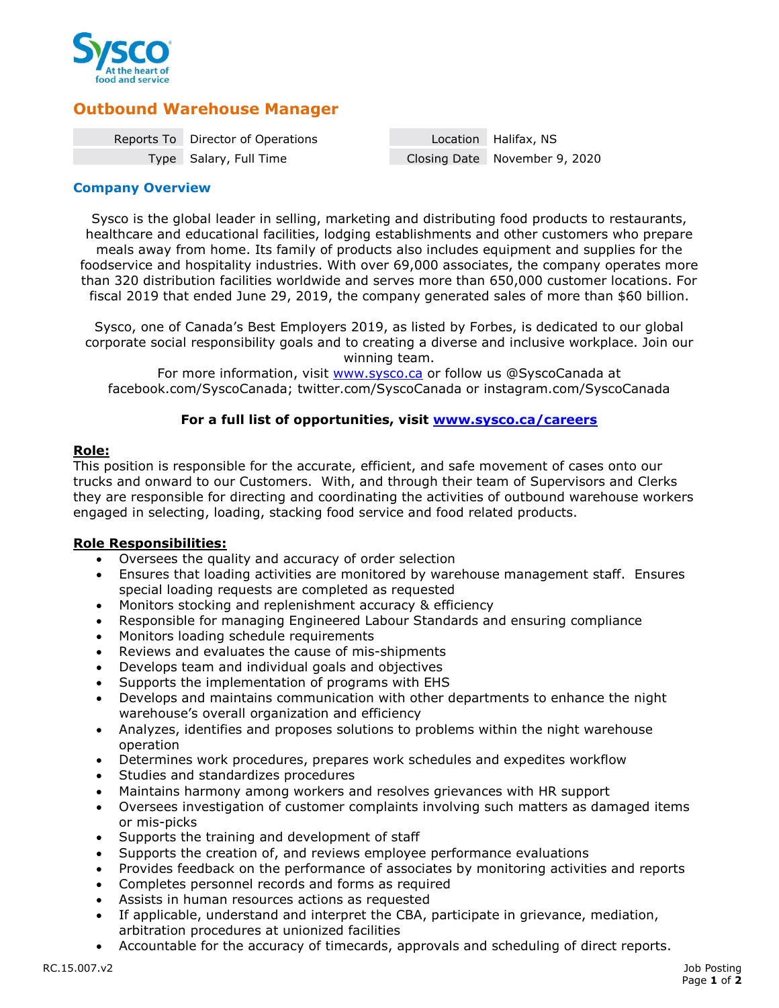

# **Outbound Warehouse Manager**

| Reports To Director of Operations | Location Halifax, NS          |
|-----------------------------------|-------------------------------|
| Type Salary, Full Time            | Closing Date November 9, 2020 |

## **Company Overview**

Sysco is the global leader in selling, marketing and distributing food products to restaurants, healthcare and educational facilities, lodging establishments and other customers who prepare meals away from home. Its family of products also includes equipment and supplies for the foodservice and hospitality industries. With over 69,000 associates, the company operates more than 320 distribution facilities worldwide and serves more than 650,000 customer locations. For fiscal 2019 that ended June 29, 2019, the company generated sales of more than \$60 billion.

Sysco, one of Canada's Best Employers 2019, as listed by Forbes, is dedicated to our global corporate social responsibility goals and to creating a diverse and inclusive workplace. Join our winning team.

For more information, visit [www.sysco.ca](http://www.sysco.ca/) or follow us @SyscoCanada at facebook.com/SyscoCanada; twitter.com/SyscoCanada or instagram.com/SyscoCanada

## **For a full list of opportunities, visit [www.sysco.ca/careers](http://www.sysco.ca/careers)**

# **Role:**

This position is responsible for the accurate, efficient, and safe movement of cases onto our trucks and onward to our Customers. With, and through their team of Supervisors and Clerks they are responsible for directing and coordinating the activities of outbound warehouse workers engaged in selecting, loading, stacking food service and food related products.

## **Role Responsibilities:**

- Oversees the quality and accuracy of order selection
- Ensures that loading activities are monitored by warehouse management staff. Ensures special loading requests are completed as requested
- Monitors stocking and replenishment accuracy & efficiency
- Responsible for managing Engineered Labour Standards and ensuring compliance
- Monitors loading schedule requirements
- Reviews and evaluates the cause of mis-shipments
- Develops team and individual goals and objectives
- Supports the implementation of programs with EHS
- Develops and maintains communication with other departments to enhance the night warehouse's overall organization and efficiency
- Analyzes, identifies and proposes solutions to problems within the night warehouse operation
- Determines work procedures, prepares work schedules and expedites workflow
- Studies and standardizes procedures
- Maintains harmony among workers and resolves grievances with HR support
- Oversees investigation of customer complaints involving such matters as damaged items or mis-picks
- Supports the training and development of staff
- Supports the creation of, and reviews employee performance evaluations
- Provides feedback on the performance of associates by monitoring activities and reports
- Completes personnel records and forms as required
- Assists in human resources actions as requested
- If applicable, understand and interpret the CBA, participate in grievance, mediation, arbitration procedures at unionized facilities
- Accountable for the accuracy of timecards, approvals and scheduling of direct reports.